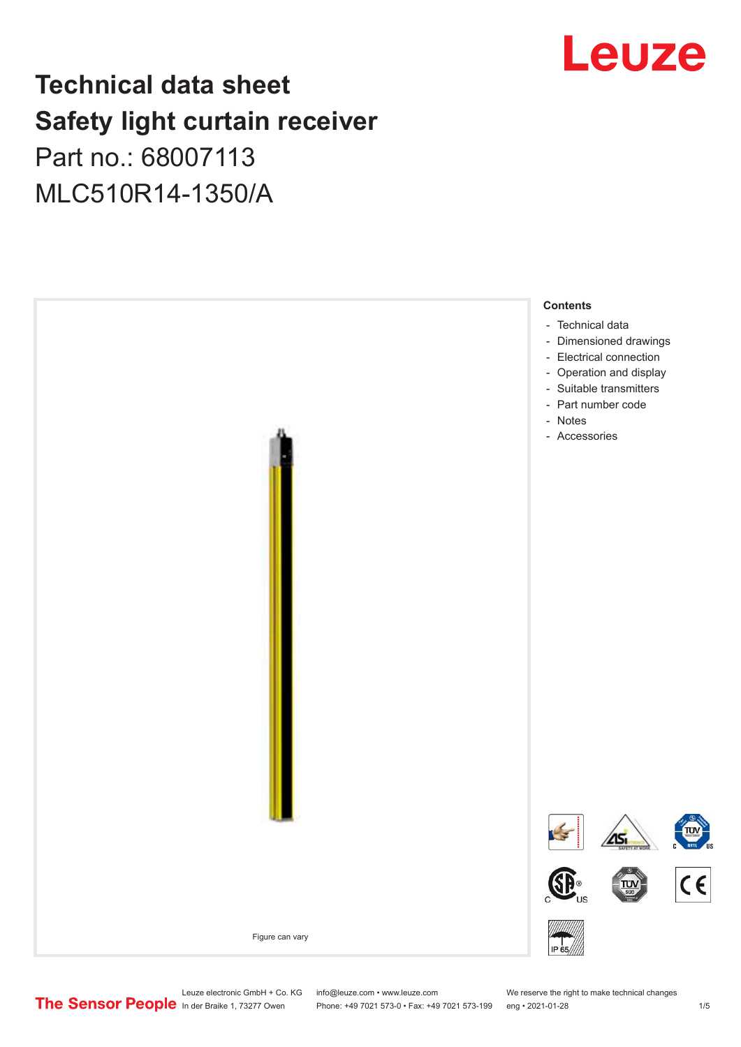# Leuze

## **Technical data sheet Safety light curtain receiver**

## Part no.: 68007113 MLC510R14-1350/A



Leuze electronic GmbH + Co. KG info@leuze.com • www.leuze.com We reserve the right to make technical changes<br>
The Sensor People in der Braike 1, 73277 Owen Phone: +49 7021 573-0 • Fax: +49 7021 573-199 eng • 2021-01-28

Phone: +49 7021 573-0 • Fax: +49 7021 573-199 eng • 2021-01-28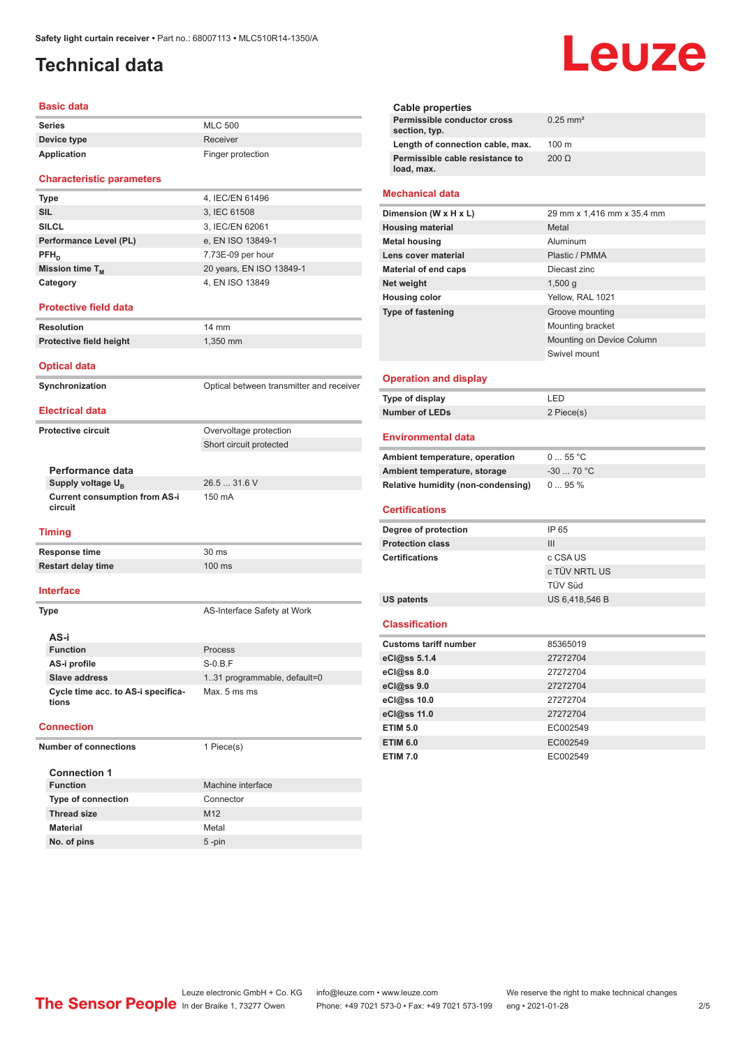## <span id="page-1-0"></span>**Technical data**

#### **Basic data**

| <b>Series</b> | <b>MLC 500</b>    |
|---------------|-------------------|
| Device type   | Receiver          |
| Application   | Finger protection |

#### **Characteristic parameters**

| <b>Type</b>            | 4, IEC/EN 61496          |
|------------------------|--------------------------|
| <b>SIL</b>             | 3, IEC 61508             |
| <b>SILCL</b>           | 3, IEC/EN 62061          |
| Performance Level (PL) | e, EN ISO 13849-1        |
| $PFH_{n}$              | 7.73E-09 per hour        |
| Mission time $T_M$     | 20 years, EN ISO 13849-1 |
| Category               | 4, EN ISO 13849          |

#### **Protective field data**

**Resolution** 14 mm **Protective field height** 1,350 mm

#### **Optical data**

**Synchronization Synchronization** Optical between transmitter and receiver **Electrical data**

Short circuit protected

#### **Protective circuit COVER COVER COVER COVER COVER COVER COVER COVER COVER COVER COVER COVER COVER COVER COVER**

**Performance data Supply voltage U<sub>B</sub> Current consumption from AS-i** 

26.5 ... 31.6 V 150 mA

#### **Timing**

**circuit**

**Response time** 30 ms **Restart delay time** 100 ms

#### **Interface**

**Type AS-Interface Safety at Work AS-i Function** Process **AS-i profile** S-0.B.F **Slave address** 1..31 programmable, default=0 **Cycle time acc. to AS-i specifications** Max. 5 ms ms

#### **Connection**

**Number of connections** 1 Piece(s)

| <b>Connection 1</b>       |                   |
|---------------------------|-------------------|
| <b>Function</b>           | Machine interface |
| <b>Type of connection</b> | Connector         |
| <b>Thread size</b>        | M <sub>12</sub>   |
| <b>Material</b>           | Metal             |
| No. of pins               | $5 - pin$         |

# Leuze

| Cable properties                              |                        |
|-----------------------------------------------|------------------------|
| Permissible conductor cross<br>section, typ.  | $0.25$ mm <sup>2</sup> |
| Length of connection cable, max.              | $100 \text{ m}$        |
| Permissible cable resistance to<br>load, max. | $200 \Omega$           |
|                                               |                        |

#### **Mechanical data**

| Dimension (W x H x L)    | 29 mm x 1,416 mm x 35.4 mm |
|--------------------------|----------------------------|
| <b>Housing material</b>  | Metal                      |
| <b>Metal housing</b>     | Aluminum                   |
| Lens cover material      | Plastic / PMMA             |
| Material of end caps     | Diecast zinc               |
| Net weight               | $1,500$ q                  |
| <b>Housing color</b>     | Yellow, RAL 1021           |
| <b>Type of fastening</b> | Groove mounting            |
|                          | Mounting bracket           |
|                          | Mounting on Device Column  |
|                          | Swivel mount               |
|                          |                            |

#### **Operation and display**

| Type of display | ' FD.      |
|-----------------|------------|
| Number of LEDs  | 2 Piece(s) |

#### **Environmental data**

| Ambient temperature, operation     | $055$ °C   |
|------------------------------------|------------|
| Ambient temperature, storage       | $-3070 °C$ |
| Relative humidity (non-condensing) | $095\%$    |

#### **Certifications**

| Degree of protection    | IP 65          |
|-------------------------|----------------|
| <b>Protection class</b> | Ш              |
| <b>Certifications</b>   | c CSA US       |
|                         | c TÜV NRTL US  |
|                         | TÜV Süd        |
| US patents              | US 6,418,546 B |

#### **Classification**

| <b>Customs tariff number</b> | 85365019 |
|------------------------------|----------|
| eCl@ss 5.1.4                 | 27272704 |
| eCl@ss 8.0                   | 27272704 |
| eCl@ss 9.0                   | 27272704 |
| eCl@ss 10.0                  | 27272704 |
| eCl@ss 11.0                  | 27272704 |
| <b>ETIM 5.0</b>              | EC002549 |
| <b>ETIM 6.0</b>              | EC002549 |
| <b>ETIM 7.0</b>              | EC002549 |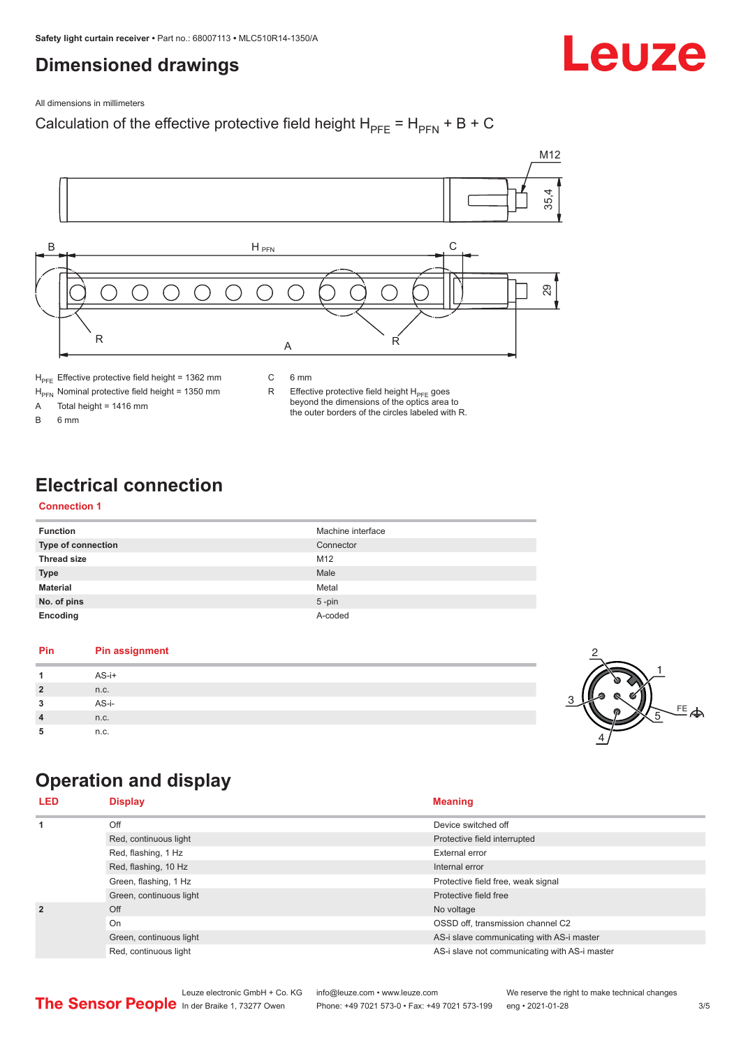## <span id="page-2-0"></span>**Dimensioned drawings**

Leuze

All dimensions in millimeters

### Calculation of the effective protective field height  $H_{PFE} = H_{PFN} + B + C$



 $H<sub>PE</sub>$  Effective protective field height = 1362 mm

C 6 mm

 $H_{\text{PFN}}$  Nominal protective field height = 1350 mm<br>A Total height = 1416 mm

Total height =  $1416$  mm

B 6 mm

R Effective protective field height  $H_{PFE}$  goes beyond the dimensions of the optics area to the outer borders of the circles labeled with R.

## **Electrical connection**

#### **Connection 1**

| <b>Function</b>    | Machine interface |
|--------------------|-------------------|
| Type of connection | Connector         |
| <b>Thread size</b> | M12               |
| <b>Type</b>        | Male              |
| <b>Material</b>    | Metal             |
| No. of pins        | $5$ -pin          |
| Encoding           | A-coded           |

#### **Pin Pin assignment 1** AS-i+ **2** n.c. **3** AS-i-**4** n.c. **5** n.c.



## **Operation and display**

| <b>LED</b>                                                                      | <b>Display</b>          | <b>Meaning</b>                                |
|---------------------------------------------------------------------------------|-------------------------|-----------------------------------------------|
| 1                                                                               | Off                     | Device switched off                           |
|                                                                                 | Red, continuous light   | Protective field interrupted                  |
|                                                                                 | Red, flashing, 1 Hz     | External error                                |
|                                                                                 | Red, flashing, 10 Hz    | Internal error                                |
|                                                                                 | Green, flashing, 1 Hz   | Protective field free, weak signal            |
|                                                                                 | Green, continuous light | Protective field free                         |
| $\overline{2}$<br>Off<br>On<br>Green, continuous light<br>Red, continuous light |                         | No voltage                                    |
|                                                                                 |                         | OSSD off, transmission channel C2             |
|                                                                                 |                         | AS-i slave communicating with AS-i master     |
|                                                                                 |                         | AS-i slave not communicating with AS-i master |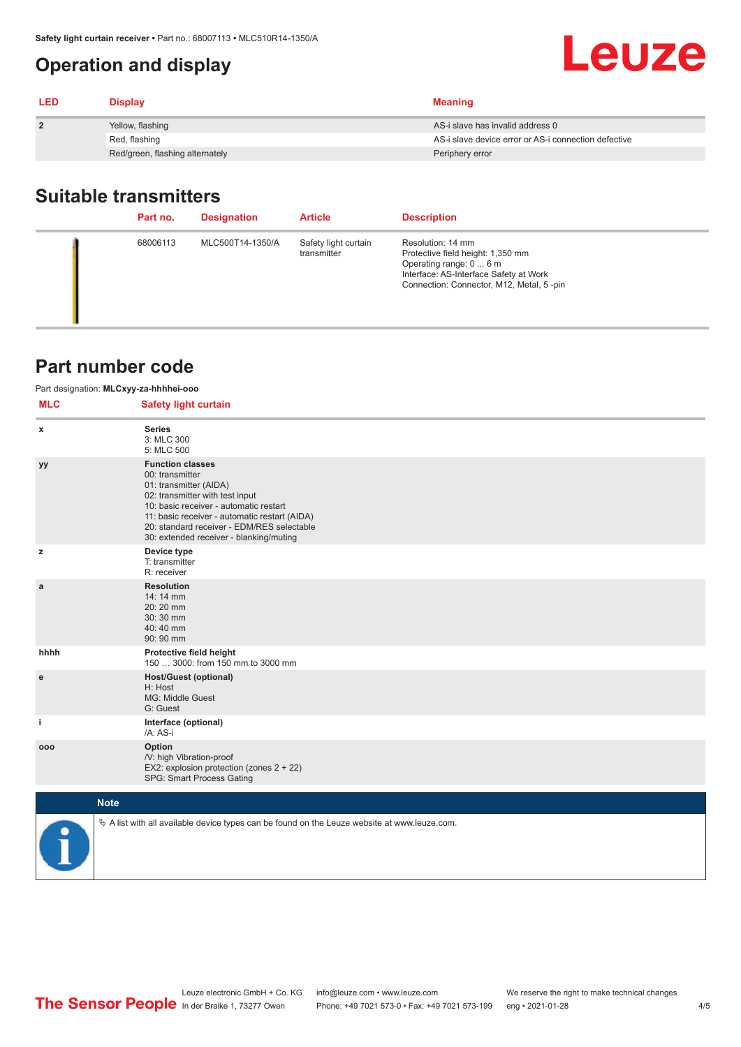## <span id="page-3-0"></span>**Operation and display**

| <b>LED</b>   | <b>Display</b>                  | <b>Meaning</b>                                       |
|--------------|---------------------------------|------------------------------------------------------|
| $\mathbf{2}$ | Yellow, flashing                | AS-i slave has invalid address 0                     |
|              | Red, flashing                   | AS-i slave device error or AS-i connection defective |
|              | Red/green, flashing alternately | Periphery error                                      |

## **Suitable transmitters**

| Part no. | <b>Designation</b> | <b>Article</b>                      | <b>Description</b>                                                                                                                                                      |
|----------|--------------------|-------------------------------------|-------------------------------------------------------------------------------------------------------------------------------------------------------------------------|
| 68006113 | MLC500T14-1350/A   | Safety light curtain<br>transmitter | Resolution: 14 mm<br>Protective field height: 1,350 mm<br>Operating range: 0  6 m<br>Interface: AS-Interface Safety at Work<br>Connection: Connector, M12, Metal, 5-pin |

## **Part number code**

| Part designation: MLCxyy-za-hhhhei-ooo |                                                                                                                                                                                                                                                                                             |  |  |  |
|----------------------------------------|---------------------------------------------------------------------------------------------------------------------------------------------------------------------------------------------------------------------------------------------------------------------------------------------|--|--|--|
| <b>MLC</b>                             | <b>Safety light curtain</b>                                                                                                                                                                                                                                                                 |  |  |  |
| x                                      | <b>Series</b><br>3: MLC 300<br>5: MLC 500                                                                                                                                                                                                                                                   |  |  |  |
| уу                                     | <b>Function classes</b><br>00: transmitter<br>01: transmitter (AIDA)<br>02: transmitter with test input<br>10: basic receiver - automatic restart<br>11: basic receiver - automatic restart (AIDA)<br>20: standard receiver - EDM/RES selectable<br>30: extended receiver - blanking/muting |  |  |  |
| z                                      | Device type<br>T: transmitter<br>R: receiver                                                                                                                                                                                                                                                |  |  |  |
| a                                      | <b>Resolution</b><br>14:14 mm<br>20:20 mm<br>30:30 mm<br>40:40 mm<br>90: 90 mm                                                                                                                                                                                                              |  |  |  |
| hhhh                                   | Protective field height<br>150  3000: from 150 mm to 3000 mm                                                                                                                                                                                                                                |  |  |  |
| ${\bf e}$                              | <b>Host/Guest (optional)</b><br>H: Host<br>MG: Middle Guest<br>G: Guest                                                                                                                                                                                                                     |  |  |  |
| j.                                     | Interface (optional)<br>/A: AS-i                                                                                                                                                                                                                                                            |  |  |  |
| 000                                    | Option<br>/V: high Vibration-proof<br>EX2: explosion protection (zones 2 + 22)<br>SPG: Smart Process Gating                                                                                                                                                                                 |  |  |  |
|                                        | <b>Note</b>                                                                                                                                                                                                                                                                                 |  |  |  |
|                                        | $\&$ A list with all available device types can be found on the Leuze website at www.leuze.com.                                                                                                                                                                                             |  |  |  |

Leuze